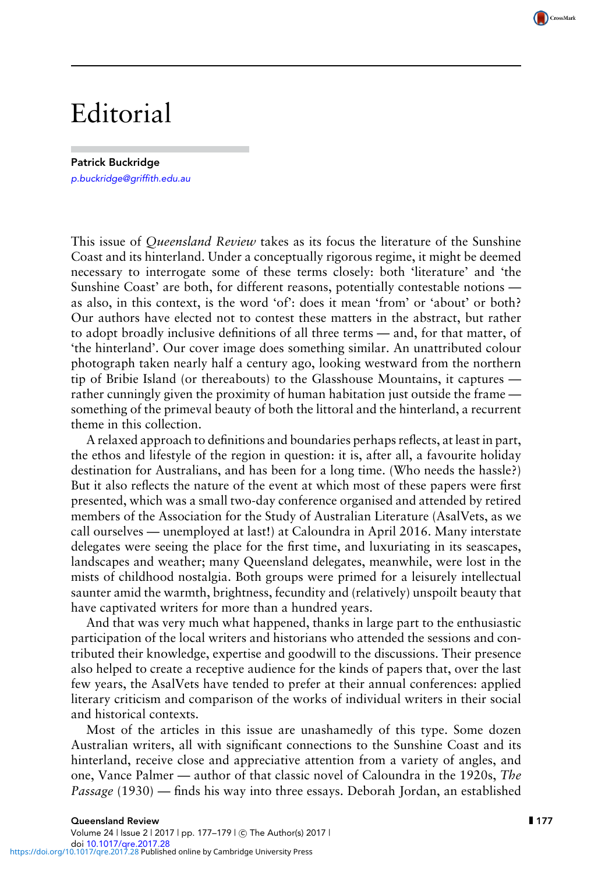## Editorial

Patrick Buckridge p.[buckridge@griffith.edu.au](mailto:p.buckridge@griffith.edu.au)

This issue of *Queensland Review* takes as its focus the literature of the Sunshine Coast and its hinterland. Under a conceptually rigorous regime, it might be deemed necessary to interrogate some of these terms closely: both 'literature' and 'the Sunshine Coast' are both, for different reasons, potentially contestable notions as also, in this context, is the word 'of': does it mean 'from' or 'about' or both? Our authors have elected not to contest these matters in the abstract, but rather to adopt broadly inclusive definitions of all three terms — and, for that matter, of 'the hinterland'. Our cover image does something similar. An unattributed colour photograph taken nearly half a century ago, looking westward from the northern tip of Bribie Island (or thereabouts) to the Glasshouse Mountains, it captures rather cunningly given the proximity of human habitation just outside the frame something of the primeval beauty of both the littoral and the hinterland, a recurrent theme in this collection.

A relaxed approach to definitions and boundaries perhaps reflects, at least in part, the ethos and lifestyle of the region in question: it is, after all, a favourite holiday destination for Australians, and has been for a long time. (Who needs the hassle?) But it also reflects the nature of the event at which most of these papers were first presented, which was a small two-day conference organised and attended by retired members of the Association for the Study of Australian Literature (AsalVets, as we call ourselves — unemployed at last!) at Caloundra in April 2016. Many interstate delegates were seeing the place for the first time, and luxuriating in its seascapes, landscapes and weather; many Queensland delegates, meanwhile, were lost in the mists of childhood nostalgia. Both groups were primed for a leisurely intellectual saunter amid the warmth, brightness, fecundity and (relatively) unspoilt beauty that have captivated writers for more than a hundred years.

And that was very much what happened, thanks in large part to the enthusiastic participation of the local writers and historians who attended the sessions and contributed their knowledge, expertise and goodwill to the discussions. Their presence also helped to create a receptive audience for the kinds of papers that, over the last few years, the AsalVets have tended to prefer at their annual conferences: applied literary criticism and comparison of the works of individual writers in their social and historical contexts.

Most of the articles in this issue are unashamedly of this type. Some dozen Australian writers, all with significant connections to the Sunshine Coast and its hinterland, receive close and appreciative attention from a variety of angles, and one, Vance Palmer — author of that classic novel of Caloundra in the 1920s, *The Passage* (1930) — finds his way into three essays. Deborah Jordan, an established

CrossMark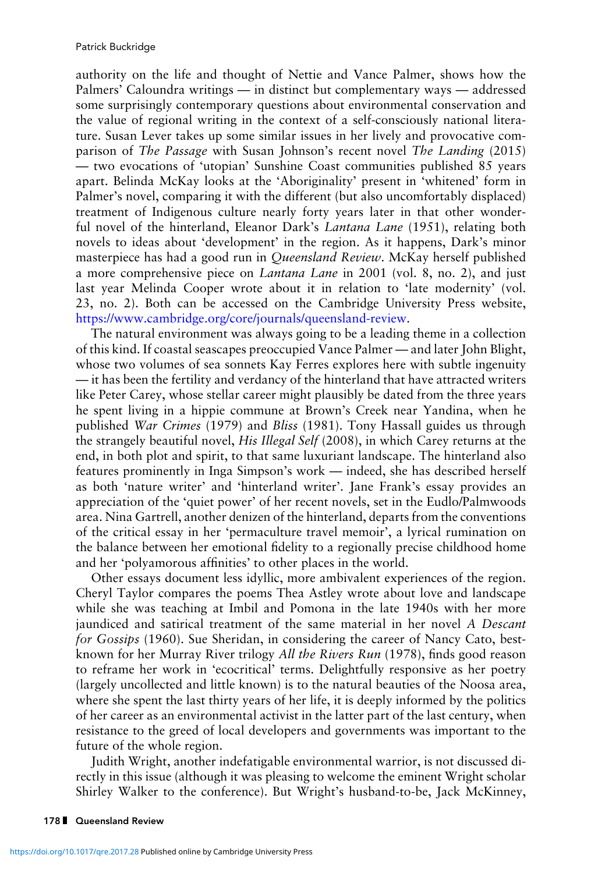authority on the life and thought of Nettie and Vance Palmer, shows how the Palmers' Caloundra writings — in distinct but complementary ways — addressed some surprisingly contemporary questions about environmental conservation and the value of regional writing in the context of a self-consciously national literature. Susan Lever takes up some similar issues in her lively and provocative comparison of *The Passage* with Susan Johnson's recent novel *The Landing* (2015) — two evocations of 'utopian' Sunshine Coast communities published 85 years apart. Belinda McKay looks at the 'Aboriginality' present in 'whitened' form in Palmer's novel, comparing it with the different (but also uncomfortably displaced) treatment of Indigenous culture nearly forty years later in that other wonderful novel of the hinterland, Eleanor Dark's *Lantana Lane* (1951), relating both novels to ideas about 'development' in the region. As it happens, Dark's minor masterpiece has had a good run in *Queensland Review*. McKay herself published a more comprehensive piece on *Lantana Lane* in 2001 (vol. 8, no. 2), and just last year Melinda Cooper wrote about it in relation to 'late modernity' (vol. 23, no. 2). Both can be accessed on the Cambridge University Press website, [https://www.cambridge.org/core/journals/queensland-review.](https://www.cambridge.org/core/journals/queensland-review)

The natural environment was always going to be a leading theme in a collection of this kind. If coastal seascapes preoccupied Vance Palmer — and later John Blight, whose two volumes of sea sonnets Kay Ferres explores here with subtle ingenuity — it has been the fertility and verdancy of the hinterland that have attracted writers like Peter Carey, whose stellar career might plausibly be dated from the three years he spent living in a hippie commune at Brown's Creek near Yandina, when he published *War Crimes* (1979) and *Bliss* (1981). Tony Hassall guides us through the strangely beautiful novel, *His Illegal Self* (2008), in which Carey returns at the end, in both plot and spirit, to that same luxuriant landscape. The hinterland also features prominently in Inga Simpson's work — indeed, she has described herself as both 'nature writer' and 'hinterland writer'. Jane Frank's essay provides an appreciation of the 'quiet power' of her recent novels, set in the Eudlo/Palmwoods area. Nina Gartrell, another denizen of the hinterland, departs from the conventions of the critical essay in her 'permaculture travel memoir', a lyrical rumination on the balance between her emotional fidelity to a regionally precise childhood home and her 'polyamorous affinities' to other places in the world.

Other essays document less idyllic, more ambivalent experiences of the region. Cheryl Taylor compares the poems Thea Astley wrote about love and landscape while she was teaching at Imbil and Pomona in the late 1940s with her more jaundiced and satirical treatment of the same material in her novel *A Descant for Gossips* (1960). Sue Sheridan, in considering the career of Nancy Cato, bestknown for her Murray River trilogy *All the Rivers Run* (1978), finds good reason to reframe her work in 'ecocritical' terms. Delightfully responsive as her poetry (largely uncollected and little known) is to the natural beauties of the Noosa area, where she spent the last thirty years of her life, it is deeply informed by the politics of her career as an environmental activist in the latter part of the last century, when resistance to the greed of local developers and governments was important to the future of the whole region.

Judith Wright, another indefatigable environmental warrior, is not discussed directly in this issue (although it was pleasing to welcome the eminent Wright scholar Shirley Walker to the conference). But Wright's husband-to-be, Jack McKinney,